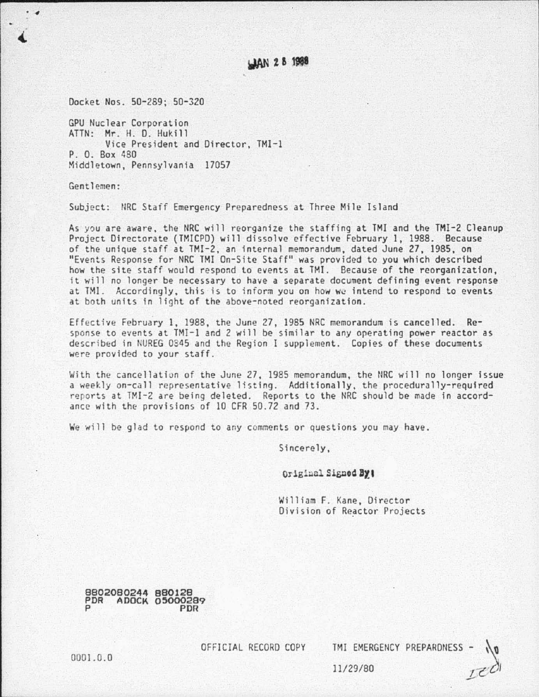## **JAN 28 1988**

Docket Nos . 50-289; 50-320

GPU Nuclear Corporation ATTN: Mr. H. D. Hukill Vice President and Director, TMI-1 P. 0. Box 480 Middletown, Pennsylvania 17057

Gentlemen :

• *4* 

Subject: NRC Staff Emergency Preparedness at Three Mile Island

As you are aware, the NRC will reorganize the staffing at TMI and the TMI-2 Cleanup Project Directorate (TMICPO) will dissolve effective February 1, 1988. Because of the unique staff at TMI-2, an internal memorandum, dated June 27, 1985, on "Events Response for NRC TMI On-Site Staff" was provided to you which described how the site staff would respond to events at TMI. Because of the reorganization, it will no longer be necessary to have a separate document defining event response at TMI. Accordingly, this is to inform you on how we intend to respond to events at both units in light of the above-noted reorganization.

Effective February 1, 1988, the June 27, 1985 NRC memorandum is cancelled. Response to events at TMJ-1 and 2 will be similar to any operating power reactor as described in NUREG 0345 and the Region I supplement. Copies of these documents were provided to your staff.

With the cancellatian of the June 27, 1985 memorandum, the NRC will no longer issue a weekly on-call representative listing. Additionally, the procedurally-required reports at TMI-2 are being deleted. Reports to the NRC should be made in accordance with the provisions of 10 CFR 50.72 and 73.

We will be glad to respond to any comments or questions you may have.

Sincerely,

Original Signed By:

William F. Kane, Director Division of Reactor Projects

8802080244 880128 PDR ADOCK 05000289 P PDR

OFFICIAL RECORD COPY TMI EMERGENCY PREPARONESS

0001.0.0

11/29/80

 $\sqrt{0}$ 

 $I<sup>c</sup>$